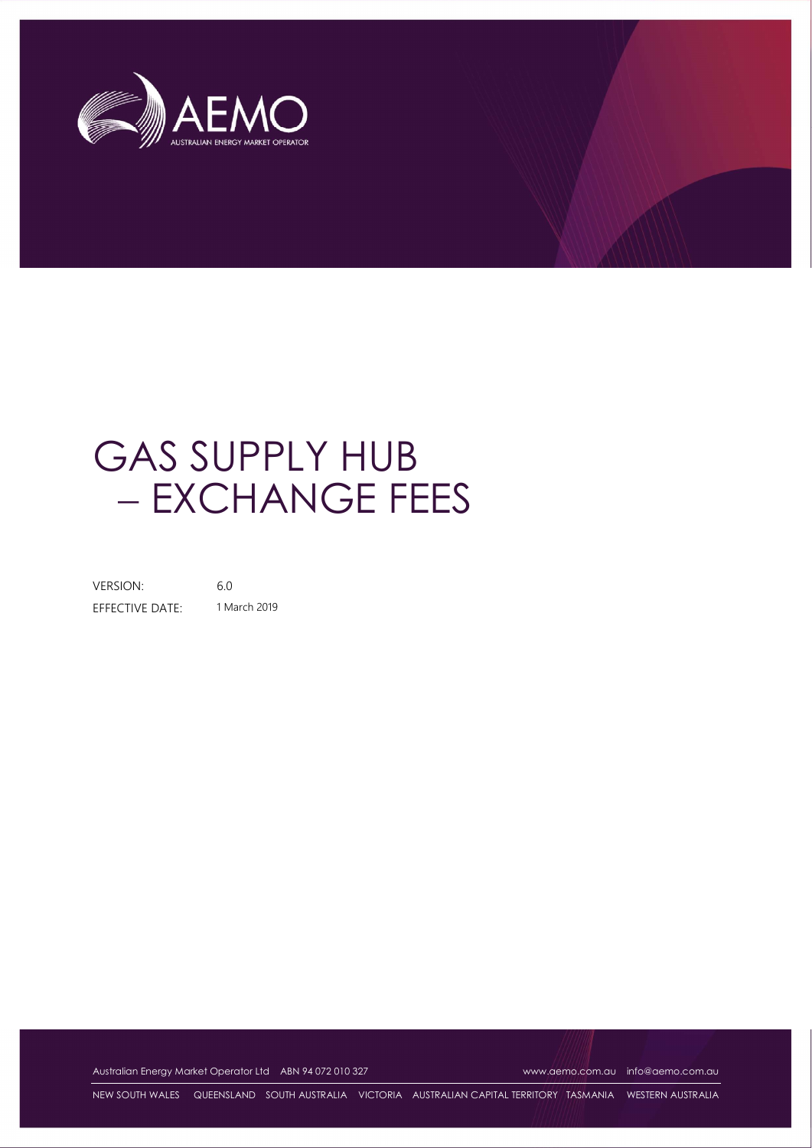

## GAS SUPPLY HUB - EXCHANGE FEES

VERSION: 6.0 EFFECTIVE DATE: 1 March 2019

Australian Energy Market Operator Ltd ABN 94 072 010 327 www.aemo.com.au info@aemo.com.au info@aemo.com.au

NEW SOUTH WALES QUEENSLAND SOUTH AUSTRALIA VICTORIA AUSTRALIAN CAPITAL TERRITORY TASMANIA WESTERN AUSTRALIA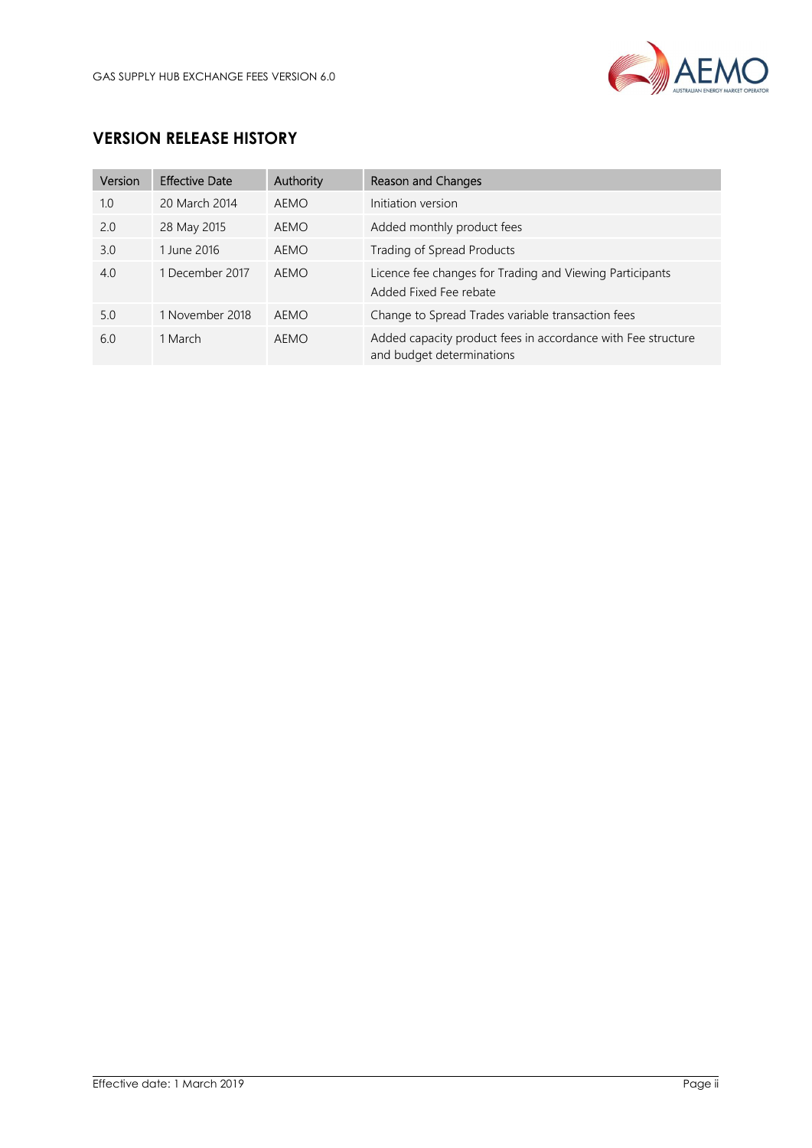

## VERSION RELEASE HISTORY

| Version | <b>Effective Date</b> | Authority | Reason and Changes                                                                        |
|---------|-----------------------|-----------|-------------------------------------------------------------------------------------------|
| 1.0     | 20 March 2014         | AEMO      | Initiation version                                                                        |
| 2.0     | 28 May 2015           | AEMO      | Added monthly product fees                                                                |
| 3.0     | 1 June 2016           | AEMO      | Trading of Spread Products                                                                |
| 4.0     | 1 December 2017       | AEMO      | Licence fee changes for Trading and Viewing Participants<br>Added Fixed Fee rebate        |
| 5.0     | 1 November 2018       | AEMO      | Change to Spread Trades variable transaction fees                                         |
| 6.0     | 1 March               | AEMO      | Added capacity product fees in accordance with Fee structure<br>and budget determinations |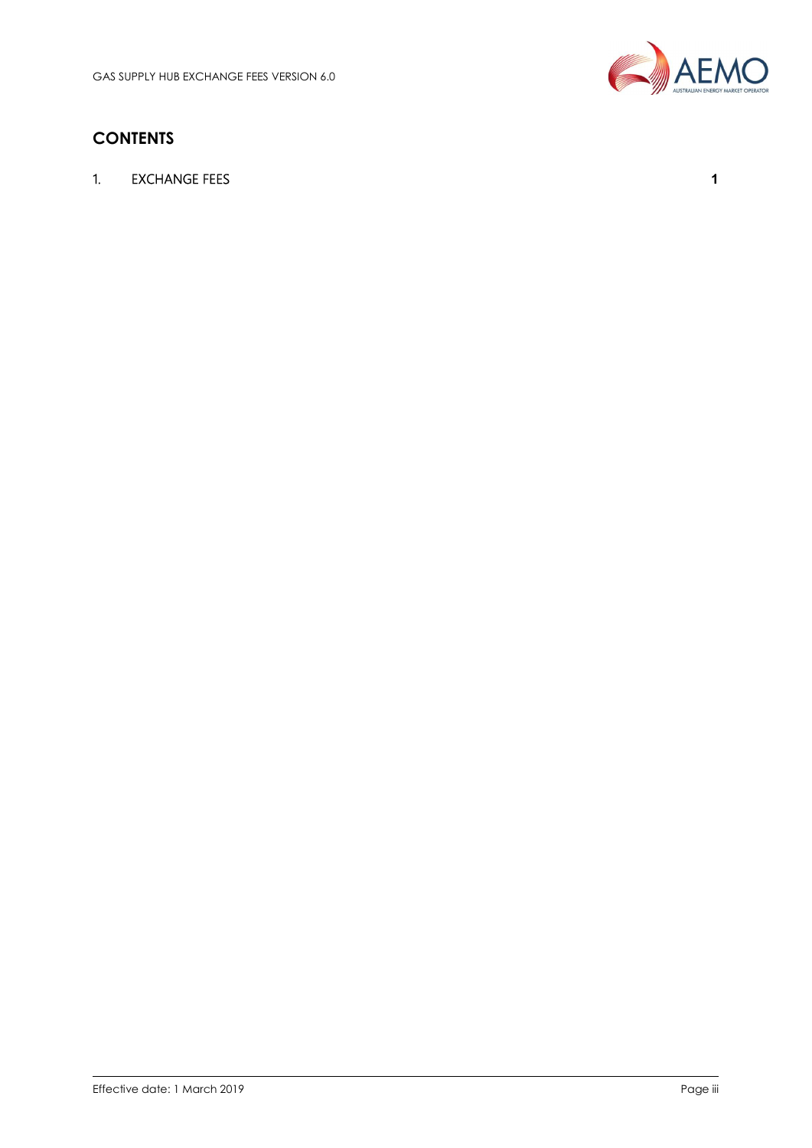

## **CONTENTS**

1. EXCHANGE FEES 2008 120 120 2009 12:00 12:00 12:00 12:00 12:00 12:00 12:00 12:00 12:00 12:00 12:00 12:00 12:00 12:00 12:00 12:00 12:00 12:00 12:00 12:00 12:00 12:00 12:00 12:00 12:00 12:00 12:00 12:00 12:00 12:00 12:00 1